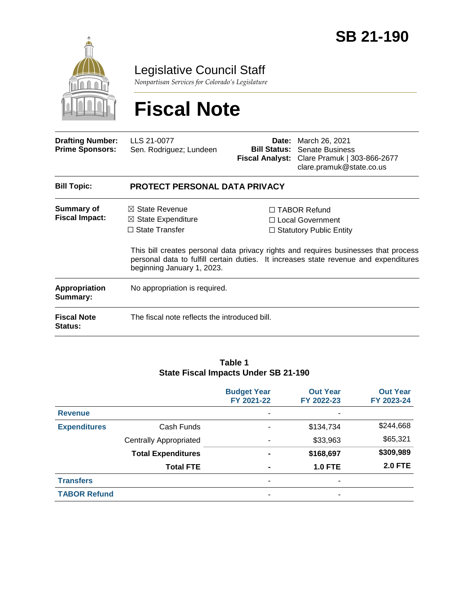

Legislative Council Staff

*Nonpartisan Services for Colorado's Legislature*

# **Fiscal Note**

| <b>Drafting Number:</b><br><b>Prime Sponsors:</b> | LLS 21-0077<br>Sen. Rodriguez; Lundeen                                                                            | Date:<br><b>Bill Status:</b> | March 26, 2021<br>Senate Business<br>Fiscal Analyst: Clare Pramuk   303-866-2677<br>clare.pramuk@state.co.us                                                                                                                                                    |  |  |
|---------------------------------------------------|-------------------------------------------------------------------------------------------------------------------|------------------------------|-----------------------------------------------------------------------------------------------------------------------------------------------------------------------------------------------------------------------------------------------------------------|--|--|
| <b>Bill Topic:</b>                                | <b>PROTECT PERSONAL DATA PRIVACY</b>                                                                              |                              |                                                                                                                                                                                                                                                                 |  |  |
| Summary of<br><b>Fiscal Impact:</b>               | $\boxtimes$ State Revenue<br>$\boxtimes$ State Expenditure<br>$\Box$ State Transfer<br>beginning January 1, 2023. |                              | $\Box$ TABOR Refund<br>$\Box$ Local Government<br>$\Box$ Statutory Public Entity<br>This bill creates personal data privacy rights and requires businesses that process<br>personal data to fulfill certain duties. It increases state revenue and expenditures |  |  |
| <b>Appropriation</b><br>Summary:                  | No appropriation is required.                                                                                     |                              |                                                                                                                                                                                                                                                                 |  |  |
| <b>Fiscal Note</b><br><b>Status:</b>              | The fiscal note reflects the introduced bill.                                                                     |                              |                                                                                                                                                                                                                                                                 |  |  |

#### **Table 1 State Fiscal Impacts Under SB 21-190**

|                     |                               | <b>Budget Year</b><br>FY 2021-22 | <b>Out Year</b><br>FY 2022-23 | <b>Out Year</b><br>FY 2023-24 |
|---------------------|-------------------------------|----------------------------------|-------------------------------|-------------------------------|
| <b>Revenue</b>      |                               | $\overline{\phantom{a}}$         | ۰                             |                               |
| <b>Expenditures</b> | Cash Funds                    | ٠                                | \$134,734                     | \$244,668                     |
|                     | <b>Centrally Appropriated</b> |                                  | \$33,963                      | \$65,321                      |
|                     | <b>Total Expenditures</b>     |                                  | \$168,697                     | \$309,989                     |
|                     | <b>Total FTE</b>              | $\blacksquare$                   | <b>1.0 FTE</b>                | <b>2.0 FTE</b>                |
| <b>Transfers</b>    |                               | $\overline{\phantom{a}}$         | ۰                             |                               |
| <b>TABOR Refund</b> |                               | $\overline{\phantom{0}}$         | -                             |                               |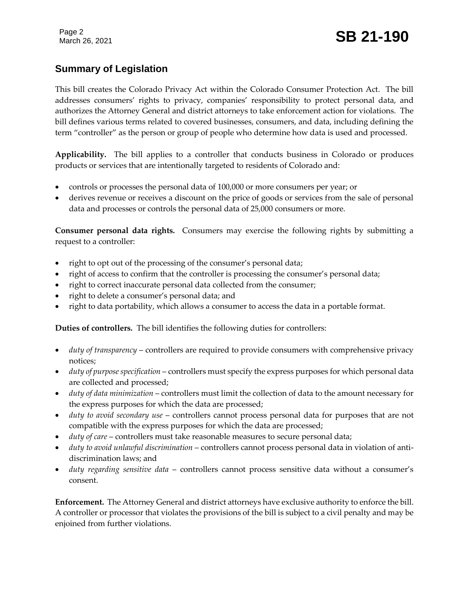## **Summary of Legislation**

This bill creates the Colorado Privacy Act within the Colorado Consumer Protection Act. The bill addresses consumers' rights to privacy, companies' responsibility to protect personal data, and authorizes the Attorney General and district attorneys to take enforcement action for violations. The bill defines various terms related to covered businesses, consumers, and data, including defining the term "controller" as the person or group of people who determine how data is used and processed.

**Applicability.** The bill applies to a controller that conducts business in Colorado or produces products or services that are intentionally targeted to residents of Colorado and:

- controls or processes the personal data of 100,000 or more consumers per year; or
- derives revenue or receives a discount on the price of goods or services from the sale of personal data and processes or controls the personal data of 25,000 consumers or more.

**Consumer personal data rights.** Consumers may exercise the following rights by submitting a request to a controller:

- right to opt out of the processing of the consumer's personal data;
- right of access to confirm that the controller is processing the consumer's personal data;
- right to correct inaccurate personal data collected from the consumer;
- right to delete a consumer's personal data; and
- right to data portability, which allows a consumer to access the data in a portable format.

**Duties of controllers.** The bill identifies the following duties for controllers:

- *duty of transparency* controllers are required to provide consumers with comprehensive privacy notices;
- *duty of purpose specification* controllers must specify the express purposes for which personal data are collected and processed;
- *duty of data minimization* controllers must limit the collection of data to the amount necessary for the express purposes for which the data are processed;
- *duty to avoid secondary use* controllers cannot process personal data for purposes that are not compatible with the express purposes for which the data are processed;
- *duty of care* controllers must take reasonable measures to secure personal data;
- *duty to avoid unlawful discrimination* controllers cannot process personal data in violation of antidiscrimination laws; and
- *duty regarding sensitive data* controllers cannot process sensitive data without a consumer's consent.

**Enforcement.** The Attorney General and district attorneys have exclusive authority to enforce the bill. A controller or processor that violates the provisions of the bill is subject to a civil penalty and may be enjoined from further violations.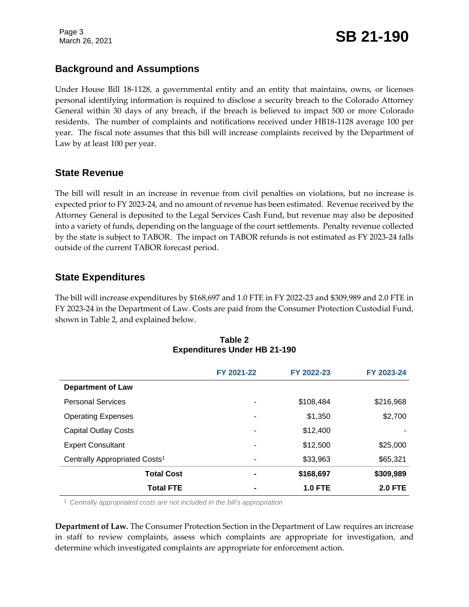Page 3

### **Background and Assumptions**

Under House Bill 18-1128, a governmental entity and an entity that maintains, owns, or licenses personal identifying information is required to disclose a security breach to the Colorado Attorney General within 30 days of any breach, if the breach is believed to impact 500 or more Colorado residents. The number of complaints and notifications received under HB18-1128 average 100 per year. The fiscal note assumes that this bill will increase complaints received by the Department of Law by at least 100 per year.

#### **State Revenue**

The bill will result in an increase in revenue from civil penalties on violations, but no increase is expected prior to FY 2023-24, and no amount of revenue has been estimated. Revenue received by the Attorney General is deposited to the Legal Services Cash Fund, but revenue may also be deposited into a variety of funds, depending on the language of the court settlements. Penalty revenue collected by the state is subject to TABOR. The impact on TABOR refunds is not estimated as FY 2023-24 falls outside of the current TABOR forecast period.

## **State Expenditures**

The bill will increase expenditures by \$168,697 and 1.0 FTE in FY 2022-23 and \$309,989 and 2.0 FTE in FY 2023-24 in the Department of Law. Costs are paid from the Consumer Protection Custodial Fund, shown in Table 2, and explained below.

|                                           | FY 2021-22 | FY 2022-23     | FY 2023-24     |
|-------------------------------------------|------------|----------------|----------------|
| <b>Department of Law</b>                  |            |                |                |
| <b>Personal Services</b>                  | ۰          | \$108,484      | \$216,968      |
| <b>Operating Expenses</b>                 | ۰          | \$1,350        | \$2,700        |
| <b>Capital Outlay Costs</b>               | ۰          | \$12,400       |                |
| <b>Expert Consultant</b>                  | ۰          | \$12,500       | \$25,000       |
| Centrally Appropriated Costs <sup>1</sup> | ۰          | \$33,963       | \$65,321       |
| <b>Total Cost</b>                         | ۰          | \$168,697      | \$309,989      |
| <b>Total FTE</b>                          |            | <b>1.0 FTE</b> | <b>2.0 FTE</b> |

| Table 2 |                                     |  |  |  |
|---------|-------------------------------------|--|--|--|
|         | <b>Expenditures Under HB 21-190</b> |  |  |  |

<sup>1</sup> *Centrally appropriated costs are not included in the bill's appropriation*

**Department of Law.** The Consumer Protection Section in the Department of Law requires an increase in staff to review complaints, assess which complaints are appropriate for investigation, and determine which investigated complaints are appropriate for enforcement action.